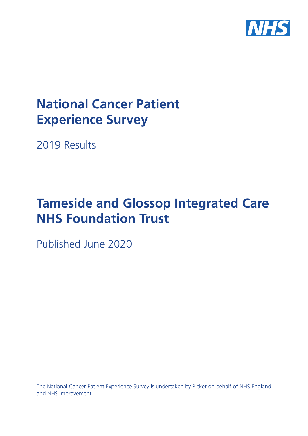

# **National Cancer Patient Experience Survey**

2019 Results

# **Tameside and Glossop Integrated Care NHS Foundation Trust**

Published June 2020

The National Cancer Patient Experience Survey is undertaken by Picker on behalf of NHS England and NHS Improvement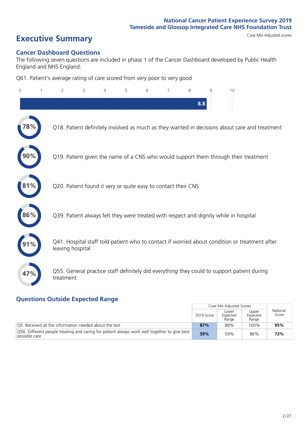# **Executive Summary** Case Mix Adjusted scores

#### **Cancer Dashboard Questions**

The following seven questions are included in phase 1 of the Cancer Dashboard developed by Public Health England and NHS England:

Q61. Patient's average rating of care scored from very poor to very good

| $\Omega$       | $\overline{2}$                                                | 3 | $\overline{4}$ | 5 | 6 | 7 | 8   | 9 | 10                                                                                            |  |
|----------------|---------------------------------------------------------------|---|----------------|---|---|---|-----|---|-----------------------------------------------------------------------------------------------|--|
|                |                                                               |   |                |   |   |   | 8.8 |   |                                                                                               |  |
| $^{\prime}8\%$ |                                                               |   |                |   |   |   |     |   | Q18. Patient definitely involved as much as they wanted in decisions about care and treatment |  |
|                |                                                               |   |                |   |   |   |     |   | Q19. Patient given the name of a CNS who would support them through their treatment           |  |
| 81%            | Q20. Patient found it very or quite easy to contact their CNS |   |                |   |   |   |     |   |                                                                                               |  |
| 86%            |                                                               |   |                |   |   |   |     |   | Q39. Patient always felt they were treated with respect and dignity while in hospital         |  |
|                | leaving hospital                                              |   |                |   |   |   |     |   | Q41. Hospital staff told patient who to contact if worried about condition or treatment after |  |
| 47%            | treatment                                                     |   |                |   |   |   |     |   | Q55. General practice staff definitely did everything they could to support patient during    |  |

### **Questions Outside Expected Range**

|                                                                                                               |            | Case Mix Adjusted Scores   |                            |                   |
|---------------------------------------------------------------------------------------------------------------|------------|----------------------------|----------------------------|-------------------|
|                                                                                                               | 2019 Score | Lower<br>Expected<br>Range | Upper<br>Expected<br>Range | National<br>Score |
| Q5. Received all the information needed about the test                                                        | 87%        | 88%                        | 100%                       | 95%               |
| Q56. Different people treating and caring for patient always work well together to give best<br>possible care | 59%        | 59%                        | 86%                        | 73%               |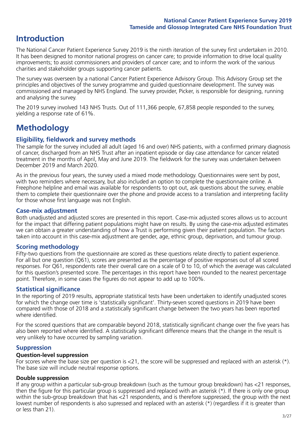## **Introduction**

The National Cancer Patient Experience Survey 2019 is the ninth iteration of the survey first undertaken in 2010. It has been designed to monitor national progress on cancer care; to provide information to drive local quality improvements; to assist commissioners and providers of cancer care; and to inform the work of the various charities and stakeholder groups supporting cancer patients.

The survey was overseen by a national Cancer Patient Experience Advisory Group. This Advisory Group set the principles and objectives of the survey programme and guided questionnaire development. The survey was commissioned and managed by NHS England. The survey provider, Picker, is responsible for designing, running and analysing the survey.

The 2019 survey involved 143 NHS Trusts. Out of 111,366 people, 67,858 people responded to the survey, yielding a response rate of 61%.

# **Methodology**

#### **Eligibility, eldwork and survey methods**

The sample for the survey included all adult (aged 16 and over) NHS patients, with a confirmed primary diagnosis of cancer, discharged from an NHS Trust after an inpatient episode or day case attendance for cancer related treatment in the months of April, May and June 2019. The fieldwork for the survey was undertaken between December 2019 and March 2020.

As in the previous four years, the survey used a mixed mode methodology. Questionnaires were sent by post, with two reminders where necessary, but also included an option to complete the questionnaire online. A Freephone helpline and email was available for respondents to opt out, ask questions about the survey, enable them to complete their questionnaire over the phone and provide access to a translation and interpreting facility for those whose first language was not English.

#### **Case-mix adjustment**

Both unadjusted and adjusted scores are presented in this report. Case-mix adjusted scores allows us to account for the impact that differing patient populations might have on results. By using the case-mix adjusted estimates we can obtain a greater understanding of how a Trust is performing given their patient population. The factors taken into account in this case-mix adjustment are gender, age, ethnic group, deprivation, and tumour group.

#### **Scoring methodology**

Fifty-two questions from the questionnaire are scored as these questions relate directly to patient experience. For all but one question (Q61), scores are presented as the percentage of positive responses out of all scored responses. For Q61, respondents rate their overall care on a scale of 0 to 10, of which the average was calculated for this question's presented score. The percentages in this report have been rounded to the nearest percentage point. Therefore, in some cases the figures do not appear to add up to 100%.

#### **Statistical significance**

In the reporting of 2019 results, appropriate statistical tests have been undertaken to identify unadjusted scores for which the change over time is 'statistically significant'. Thirty-seven scored questions in 2019 have been compared with those of 2018 and a statistically significant change between the two years has been reported where identified.

For the scored questions that are comparable beyond 2018, statistically significant change over the five years has also been reported where identified. A statistically significant difference means that the change in the result is very unlikely to have occurred by sampling variation.

#### **Suppression**

#### **Question-level suppression**

For scores where the base size per question is  $<$ 21, the score will be suppressed and replaced with an asterisk (\*). The base size will include neutral response options.

#### **Double suppression**

If any group within a particular sub-group breakdown (such as the tumour group breakdown) has <21 responses, then the figure for this particular group is suppressed and replaced with an asterisk (\*). If there is only one group within the sub-group breakdown that has <21 respondents, and is therefore suppressed, the group with the next lowest number of respondents is also supressed and replaced with an asterisk (\*) (regardless if it is greater than or less than 21).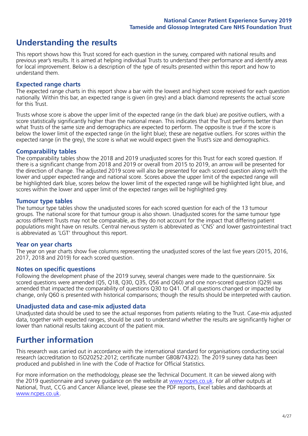## **Understanding the results**

This report shows how this Trust scored for each question in the survey, compared with national results and previous year's results. It is aimed at helping individual Trusts to understand their performance and identify areas for local improvement. Below is a description of the type of results presented within this report and how to understand them.

#### **Expected range charts**

The expected range charts in this report show a bar with the lowest and highest score received for each question nationally. Within this bar, an expected range is given (in grey) and a black diamond represents the actual score for this Trust.

Trusts whose score is above the upper limit of the expected range (in the dark blue) are positive outliers, with a score statistically significantly higher than the national mean. This indicates that the Trust performs better than what Trusts of the same size and demographics are expected to perform. The opposite is true if the score is below the lower limit of the expected range (in the light blue); these are negative outliers. For scores within the expected range (in the grey), the score is what we would expect given the Trust's size and demographics.

#### **Comparability tables**

The comparability tables show the 2018 and 2019 unadjusted scores for this Trust for each scored question. If there is a significant change from 2018 and 2019 or overall from 2015 to 2019, an arrow will be presented for the direction of change. The adjusted 2019 score will also be presented for each scored question along with the lower and upper expected range and national score. Scores above the upper limit of the expected range will be highlighted dark blue, scores below the lower limit of the expected range will be highlighted light blue, and scores within the lower and upper limit of the expected ranges will be highlighted grey.

#### **Tumour type tables**

The tumour type tables show the unadjusted scores for each scored question for each of the 13 tumour groups. The national score for that tumour group is also shown. Unadjusted scores for the same tumour type across different Trusts may not be comparable, as they do not account for the impact that differing patient populations might have on results. Central nervous system is abbreviated as 'CNS' and lower gastrointestinal tract is abbreviated as 'LGT' throughout this report.

#### **Year on year charts**

The year on year charts show five columns representing the unadjusted scores of the last five years (2015, 2016, 2017, 2018 and 2019) for each scored question.

#### **Notes on specific questions**

Following the development phase of the 2019 survey, several changes were made to the questionnaire. Six scored questions were amended (Q5, Q18, Q30, Q35, Q56 and Q60) and one non-scored question (Q29) was amended that impacted the comparability of questions Q30 to Q41. Of all questions changed or impacted by change, only Q60 is presented with historical comparisons; though the results should be interpreted with caution.

#### **Unadjusted data and case-mix adjusted data**

Unadjusted data should be used to see the actual responses from patients relating to the Trust. Case-mix adjusted data, together with expected ranges, should be used to understand whether the results are significantly higher or lower than national results taking account of the patient mix.

### **Further information**

This research was carried out in accordance with the international standard for organisations conducting social research (accreditation to ISO20252:2012; certificate number GB08/74322). The 2019 survey data has been produced and published in line with the Code of Practice for Official Statistics.

For more information on the methodology, please see the Technical Document. It can be viewed along with the 2019 questionnaire and survey quidance on the website at [www.ncpes.co.uk](https://www.ncpes.co.uk/supporting-documents). For all other outputs at National, Trust, CCG and Cancer Alliance level, please see the PDF reports, Excel tables and dashboards at [www.ncpes.co.uk.](https://www.ncpes.co.uk/current-results)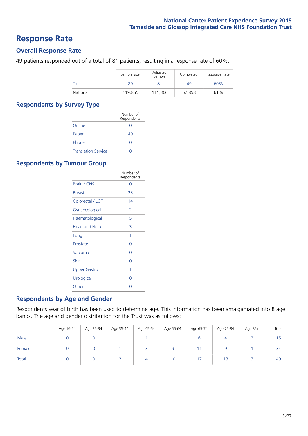### **Response Rate**

#### **Overall Response Rate**

49 patients responded out of a total of 81 patients, resulting in a response rate of 60%.

|              | Sample Size | Adjusted<br>Sample | Completed | Response Rate |
|--------------|-------------|--------------------|-----------|---------------|
| <b>Trust</b> | 89          |                    | 49        | 60%           |
| National     | 119.855     | 111,366            | 67.858    | 61%           |

#### **Respondents by Survey Type**

|                            | Number of<br>Respondents |
|----------------------------|--------------------------|
| Online                     |                          |
| Paper                      | 49                       |
| Phone                      |                          |
| <b>Translation Service</b> |                          |

#### **Respondents by Tumour Group**

|                      | Number of<br>Respondents |
|----------------------|--------------------------|
| Brain / CNS          | Ω                        |
| <b>Breast</b>        | 23                       |
| Colorectal / LGT     | 14                       |
| Gynaecological       | $\mathcal{P}$            |
| Haematological       | 5                        |
| <b>Head and Neck</b> | 3                        |
| Lung                 | 1                        |
| Prostate             | Ω                        |
| Sarcoma              | Ω                        |
| Skin                 | Ω                        |
| <b>Upper Gastro</b>  | 1                        |
| Urological           | Ω                        |
| Other                | Λ                        |

#### **Respondents by Age and Gender**

Respondents year of birth has been used to determine age. This information has been amalgamated into 8 age bands. The age and gender distribution for the Trust was as follows:

|        | Age 16-24 | Age 25-34 | Age 35-44 | Age 45-54 | Age 55-64 | Age 65-74 | Age 75-84 | Age 85+ | Total |
|--------|-----------|-----------|-----------|-----------|-----------|-----------|-----------|---------|-------|
| Male   |           |           |           |           |           |           |           |         |       |
| Female |           |           |           | ت         |           |           |           |         | 34    |
| Total  |           |           |           | 4         | 10        |           |           |         | -49   |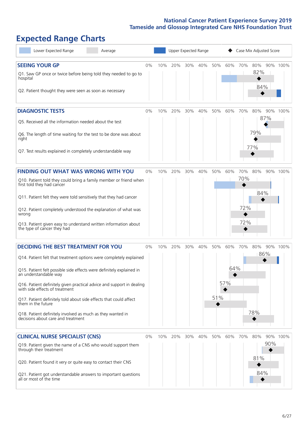# **Expected Range Charts**

| Lower Expected Range<br>Average                                                                                                                                                                                                                                                                                                                                                                                                                                                                                             |       |     | Upper Expected Range |     |     | Case Mix Adjusted Score |                   |                          |                          |     |          |
|-----------------------------------------------------------------------------------------------------------------------------------------------------------------------------------------------------------------------------------------------------------------------------------------------------------------------------------------------------------------------------------------------------------------------------------------------------------------------------------------------------------------------------|-------|-----|----------------------|-----|-----|-------------------------|-------------------|--------------------------|--------------------------|-----|----------|
| <b>SEEING YOUR GP</b><br>Q1. Saw GP once or twice before being told they needed to go to<br>hospital<br>Q2. Patient thought they were seen as soon as necessary                                                                                                                                                                                                                                                                                                                                                             | 0%    | 10% | 20%                  | 30% | 40% | 50%                     | 60%               | 70%                      | 80%<br>82%<br>84%        |     | 90% 100% |
| <b>DIAGNOSTIC TESTS</b><br>Q5. Received all the information needed about the test<br>Q6. The length of time waiting for the test to be done was about<br>right<br>Q7. Test results explained in completely understandable way                                                                                                                                                                                                                                                                                               | $0\%$ | 10% | 20%                  | 30% | 40% | 50%                     | 60%               | 70%                      | 80%<br>87%<br>79%<br>77% |     | 90% 100% |
| <b>FINDING OUT WHAT WAS WRONG WITH YOU</b><br>Q10. Patient told they could bring a family member or friend when<br>first told they had cancer<br>Q11. Patient felt they were told sensitively that they had cancer<br>Q12. Patient completely understood the explanation of what was<br>wrong<br>Q13. Patient given easy to understand written information about<br>the type of cancer they had                                                                                                                             | $0\%$ | 10% | 20%                  | 30% | 40% | 50%                     | 60%               | 70%<br>70%<br>72%<br>72% | 80%<br>84%               |     | 90% 100% |
| <b>DECIDING THE BEST TREATMENT FOR YOU</b><br>Q14. Patient felt that treatment options were completely explained<br>Q15. Patient felt possible side effects were definitely explained in<br>an understandable way<br>Q16. Patient definitely given practical advice and support in dealing<br>with side effects of treatment<br>Q17. Patient definitely told about side effects that could affect<br>them in the future<br>Q18. Patient definitely involved as much as they wanted in<br>decisions about care and treatment | $0\%$ | 10% | 20%                  | 30% | 40% | 50%<br>51%              | 60%<br>64%<br>57% | 70%                      | 80%<br>86%<br>78%        |     | 90% 100% |
| <b>CLINICAL NURSE SPECIALIST (CNS)</b><br>Q19. Patient given the name of a CNS who would support them<br>through their treatment<br>Q20. Patient found it very or quite easy to contact their CNS<br>Q21. Patient got understandable answers to important questions<br>all or most of the time                                                                                                                                                                                                                              | $0\%$ |     | 10% 20%              | 30% | 40% | 50%                     | 60%               | 70%                      | 80%<br>81%<br>84%        | 90% | 90% 100% |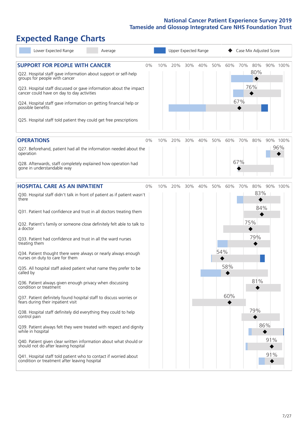# **Expected Range Charts**

| Lower Expected Range<br>Average                                                                                   |     |     | Upper Expected Range |            | Case Mix Adjusted Score |  |  |  |  |
|-------------------------------------------------------------------------------------------------------------------|-----|-----|----------------------|------------|-------------------------|--|--|--|--|
| <b>SUPPORT FOR PEOPLE WITH CANCER</b><br>$0\%$                                                                    | 10% | 20% | 30%<br>40%           | 50%<br>60% | 70%<br>80%<br>90% 100%  |  |  |  |  |
| Q22. Hospital staff gave information about support or self-help<br>groups for people with cancer                  |     |     |                      |            | 80%                     |  |  |  |  |
| Q23. Hospital staff discussed or gave information about the impact<br>cancer could have on day to day activities  |     |     |                      |            | 76%<br>◆                |  |  |  |  |
| Q24. Hospital staff gave information on getting financial help or<br>possible benefits                            |     |     |                      |            | 67%                     |  |  |  |  |
| Q25. Hospital staff told patient they could get free prescriptions                                                |     |     |                      |            |                         |  |  |  |  |
| <b>OPERATIONS</b><br>$0\%$                                                                                        | 10% | 20% | 30%<br>40%           | 50%<br>60% | 70%<br>80%<br>90% 100%  |  |  |  |  |
| Q27. Beforehand, patient had all the information needed about the<br>operation                                    |     |     |                      |            | 96%                     |  |  |  |  |
| Q28. Afterwards, staff completely explained how operation had<br>gone in understandable way                       |     |     |                      |            | 67%                     |  |  |  |  |
| <b>HOSPITAL CARE AS AN INPATIENT</b><br>0%                                                                        | 10% | 20% | 30%<br>40%           | 50%<br>60% | 80%<br>90% 100%<br>70%  |  |  |  |  |
| Q30. Hospital staff didn't talk in front of patient as if patient wasn't<br>there                                 |     |     |                      |            | 83%                     |  |  |  |  |
| Q31. Patient had confidence and trust in all doctors treating them                                                |     |     |                      |            | 84%                     |  |  |  |  |
| Q32. Patient's family or someone close definitely felt able to talk to<br>a doctor                                |     |     |                      |            | 75%                     |  |  |  |  |
| Q33. Patient had confidence and trust in all the ward nurses<br>treating them                                     |     |     |                      |            | 79%                     |  |  |  |  |
| Q34. Patient thought there were always or nearly always enough<br>nurses on duty to care for them                 |     |     |                      | 54%        |                         |  |  |  |  |
| Q35. All hospital staff asked patient what name they prefer to be<br>called by                                    |     |     |                      | 58%        |                         |  |  |  |  |
| Q36. Patient always given enough privacy when discussing<br>condition or treatment                                |     |     |                      |            | 81%                     |  |  |  |  |
| Q37. Patient definitely found hospital staff to discuss worries or<br>fears during their inpatient visit          |     |     |                      | 60%        |                         |  |  |  |  |
| Q38. Hospital staff definitely did everything they could to help<br>control pain                                  |     |     |                      |            | 79%                     |  |  |  |  |
| Q39. Patient always felt they were treated with respect and dignity<br>while in hospital                          |     |     |                      |            | 86%                     |  |  |  |  |
| Q40. Patient given clear written information about what should or<br>should not do after leaving hospital         |     |     |                      |            | 91%                     |  |  |  |  |
| Q41. Hospital staff told patient who to contact if worried about<br>condition or treatment after leaving hospital |     |     |                      |            | 91%                     |  |  |  |  |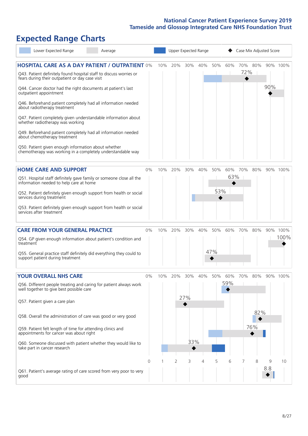# **Expected Range Charts**

| Lower Expected Range                                                                                                                                                                                                                                                                                                                                                                                                       | Average |       | Upper Expected Range |     |            |     |            |                | Case Mix Adjusted Score |     |     |          |
|----------------------------------------------------------------------------------------------------------------------------------------------------------------------------------------------------------------------------------------------------------------------------------------------------------------------------------------------------------------------------------------------------------------------------|---------|-------|----------------------|-----|------------|-----|------------|----------------|-------------------------|-----|-----|----------|
| <b>HOSPITAL CARE AS A DAY PATIENT / OUTPATIENT 0%</b><br>Q43. Patient definitely found hospital staff to discuss worries or<br>fears during their outpatient or day case visit<br>Q44. Cancer doctor had the right documents at patient's last<br>outpatient appointment                                                                                                                                                   |         |       | 10%                  | 20% | 30%        | 40% | 50%        | 60%            | 70%<br>72%              | 80% | 90% | 90% 100% |
| Q46. Beforehand patient completely had all information needed<br>about radiotherapy treatment<br>Q47. Patient completely given understandable information about<br>whether radiotherapy was working<br>Q49. Beforehand patient completely had all information needed<br>about chemotherapy treatment<br>Q50. Patient given enough information about whether<br>chemotherapy was working in a completely understandable way |         |       |                      |     |            |     |            |                |                         |     |     |          |
|                                                                                                                                                                                                                                                                                                                                                                                                                            |         |       |                      |     |            |     |            |                |                         |     |     |          |
| <b>HOME CARE AND SUPPORT</b><br>Q51. Hospital staff definitely gave family or someone close all the<br>information needed to help care at home<br>Q52. Patient definitely given enough support from health or social<br>services during treatment                                                                                                                                                                          |         | 0%    | 10%                  | 20% | 30%        | 40% | 50%<br>53% | 60% 70%<br>63% |                         | 80% |     | 90% 100% |
| Q53. Patient definitely given enough support from health or social<br>services after treatment                                                                                                                                                                                                                                                                                                                             |         |       |                      |     |            |     |            |                |                         |     |     |          |
| <b>CARE FROM YOUR GENERAL PRACTICE</b>                                                                                                                                                                                                                                                                                                                                                                                     |         | $0\%$ | 10%                  | 20% | 30%        | 40% | 50%        | 60%            | 70%                     | 80% |     | 90% 100% |
| Q54. GP given enough information about patient's condition and<br>treatment<br>Q55. General practice staff definitely did everything they could to<br>support patient during treatment                                                                                                                                                                                                                                     |         |       |                      |     |            |     | 47%        |                |                         |     |     | 100%     |
|                                                                                                                                                                                                                                                                                                                                                                                                                            |         |       |                      |     |            |     |            |                |                         |     |     |          |
| <b>YOUR OVERALL NHS CARE</b><br>Q56. Different people treating and caring for patient always work<br>well together to give best possible care<br>Q57. Patient given a care plan                                                                                                                                                                                                                                            |         | $0\%$ | 10%                  | 20% | 30%<br>27% | 40% | 50%        | 60%<br>59%     | 70%                     | 80% |     | 90% 100% |
| Q58. Overall the administration of care was good or very good                                                                                                                                                                                                                                                                                                                                                              |         |       |                      |     |            |     |            |                |                         | 82% |     |          |
| Q59. Patient felt length of time for attending clinics and<br>appointments for cancer was about right<br>Q60. Someone discussed with patient whether they would like to                                                                                                                                                                                                                                                    |         |       |                      |     | 33%        |     |            |                |                         | 76% |     |          |
| take part in cancer research                                                                                                                                                                                                                                                                                                                                                                                               |         | 0     |                      | 2   | 3          | 4   | 5          | 6              |                         | 8   | 9   | 10       |
| Q61. Patient's average rating of care scored from very poor to very<br>good                                                                                                                                                                                                                                                                                                                                                |         |       |                      |     |            |     |            |                |                         |     | 8.8 |          |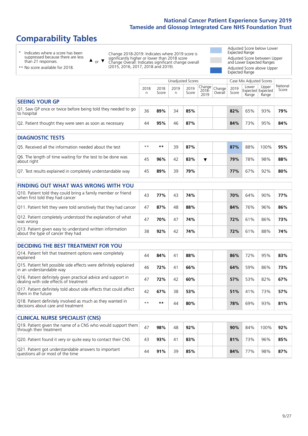# **Comparability Tables**

 $\blacktriangle$ 

\* Indicates where a score has been suppressed because there are less than 21 responses.

\*\* No score available for 2018.

or  $\blacktriangledown$ Change 2018-2019: Indicates where 2019 score is significantly higher or lower than 2018 score Change Overall: Indicates significant change overall (2015, 2016, 2017, 2018 and 2019).

Adjusted Score below Lower Expected Range Adjusted Score between Upper and Lower Expected Ranges Adjusted Score above Upper Expected Range

|                                                                             |           |               | Unadjusted Scores |               |                                                 |         |               | Case Mix Adjusted Scores                   |                |                   |
|-----------------------------------------------------------------------------|-----------|---------------|-------------------|---------------|-------------------------------------------------|---------|---------------|--------------------------------------------|----------------|-------------------|
|                                                                             | 2018<br>n | 2018<br>Score | 2019<br>n         | 2019<br>Score | $  \overline{Change}  $ Change<br>2018-<br>2019 | Overall | 2019<br>Score | Lower<br><b>Expected Expected</b><br>Range | Upper<br>Range | National<br>Score |
| <b>SEEING YOUR GP</b>                                                       |           |               |                   |               |                                                 |         |               |                                            |                |                   |
| Q1. Saw GP once or twice before being told they needed to go<br>to hospital | 36        | 89%           | 34                | 85%           |                                                 |         | 82%           | 65%                                        | 93%            | 79%               |
| Q2. Patient thought they were seen as soon as necessary                     | 44        | 95%           | 46                | 87%           |                                                 |         | 84%           | 73%                                        | 95%            | 84%               |
| <b>DIAGNOSTIC TESTS</b>                                                     |           |               |                   |               |                                                 |         |               |                                            |                |                   |
| Q5. Received all the information needed about the test                      | $***$     | $* *$         | 39                | 87%           |                                                 |         | 87%           | 88%                                        | 100%           | 95%               |
| Q6. The length of time waiting for the test to be done was<br>about right   | 45        | 96%           | 42                | 83%           | ▼                                               |         | 79%           | 78%                                        | 98%            | 88%               |

Q7. Test results explained in completely understandable way 45 **89%** 39 **79% 77%** 67% 92% **80% FINDING OUT WHAT WAS WRONG WITH YOU**

| <u>I INDINU UU I WIIAI WAJ WINJNU WIIII I UU</u>                                                |    |     |    |     |     |     |     |     |
|-------------------------------------------------------------------------------------------------|----|-----|----|-----|-----|-----|-----|-----|
| Q10. Patient told they could bring a family member or friend<br>when first told they had cancer | 43 | 77% |    | 74% | 70% | 64% | 90% | 77% |
| Q11. Patient felt they were told sensitively that they had cancer                               | 47 | 87% | 48 | 88% | 84% | 76% | 96% | 86% |
| Q12. Patient completely understood the explanation of what<br>was wrong                         | 47 | 70% |    | 74% | 72% | 61% | 86% | 73% |
| Q13. Patient given easy to understand written information<br>about the type of cancer they had  | 38 | 92% |    | 74% | 72% | 61% | 88% | 74% |

| <b>DECIDING THE BEST TREATMENT FOR YOU</b>                                                           |      |     |                |     |     |     |     |     |
|------------------------------------------------------------------------------------------------------|------|-----|----------------|-----|-----|-----|-----|-----|
| Q14. Patient felt that treatment options were completely<br>explained                                | 44   | 84% | 4 <sup>1</sup> | 88% | 86% | 72% | 95% | 83% |
| Q15. Patient felt possible side effects were definitely explained<br>in an understandable way        | 46   | 72% | 41             | 66% | 64% | 59% | 86% | 73% |
| Q16. Patient definitely given practical advice and support in dealing with side effects of treatment | 47   | 72% | 42             | 60% | 57% | 53% | 82% | 67% |
| Q17. Patient definitely told about side effects that could affect<br>them in the future              | 42   | 67% | 38             | 53% | 51% | 41% | 73% | 57% |
| Q18. Patient definitely involved as much as they wanted in<br>decisions about care and treatment     | $**$ | **  | 44             | 80% | 78% | 69% | 93% | 81% |

| <b>CLINICAL NURSE SPECIALIST (CNS)</b>                                                    |    |     |    |     |     |     |      |     |
|-------------------------------------------------------------------------------------------|----|-----|----|-----|-----|-----|------|-----|
| Q19. Patient given the name of a CNS who would support them<br>through their treatment    | 47 | 98% | 48 | 92% | 90% | 84% | 100% | 92% |
| Q20. Patient found it very or quite easy to contact their CNS                             | 43 | 93% | 41 | 83% | 81% | 73% | 96%  | 85% |
| Q21. Patient got understandable answers to important<br>questions all or most of the time | 44 | 91% | 39 | 85% | 84% | 77% | 98%  | 87% |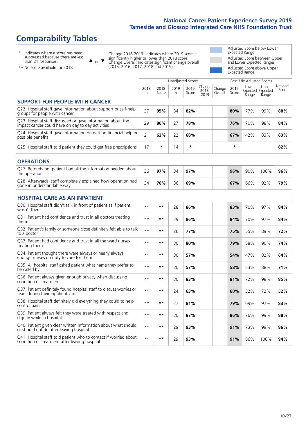# **Comparability Tables**

\* Indicates where a score has been suppressed because there are less than 21 responses.

\*\* No score available for 2018.

 $\triangle$  or  $\nabla$ 

Change 2018-2019: Indicates where 2019 score is significantly higher or lower than 2018 score Change Overall: Indicates significant change overall (2015, 2016, 2017, 2018 and 2019).

Adjusted Score below Lower Expected Range Adjusted Score between Upper and Lower Expected Ranges Adjusted Score above Upper Expected Range

|                                                                                                                   |              |               | <b>Unadjusted Scores</b> |               |                            |                   |               | Case Mix Adjusted Scores            |                |                   |
|-------------------------------------------------------------------------------------------------------------------|--------------|---------------|--------------------------|---------------|----------------------------|-------------------|---------------|-------------------------------------|----------------|-------------------|
|                                                                                                                   | 2018<br>n    | 2018<br>Score | 2019<br>$\mathsf{n}$     | 2019<br>Score | Change<br>$2018 -$<br>2019 | Change<br>Overall | 2019<br>Score | Lower<br>Expected Expected<br>Range | Upper<br>Range | National<br>Score |
| <b>SUPPORT FOR PEOPLE WITH CANCER</b>                                                                             |              |               |                          |               |                            |                   |               |                                     |                |                   |
| Q22. Hospital staff gave information about support or self-help<br>groups for people with cancer                  | 37           | 95%           | 34                       | 82%           |                            |                   | 80%           | 77%                                 | 99%            | 88%               |
| Q23. Hospital staff discussed or gave information about the<br>impact cancer could have on day to day activities  | 29           | 86%           | 27                       | 78%           |                            |                   | 76%           | 70%                                 | 98%            | 84%               |
| Q24. Hospital staff gave information on getting financial help or<br>possible benefits                            | 21           | 62%           | 22                       | 68%           |                            |                   | 67%           | 42%                                 | 83%            | 63%               |
| Q25. Hospital staff told patient they could get free prescriptions                                                | 17           | $\star$       | 14                       | $\star$       |                            |                   | $\star$       |                                     |                | 82%               |
| <b>OPERATIONS</b>                                                                                                 |              |               |                          |               |                            |                   |               |                                     |                |                   |
| Q27. Beforehand, patient had all the information needed about<br>the operation                                    | 36           | 97%           | 34                       | 97%           |                            |                   | 96%           | 90%                                 | 100%           | 96%               |
| Q28. Afterwards, staff completely explained how operation had<br>gone in understandable way                       | 34           | 76%           | 36                       | 69%           |                            |                   | 67%           | 66%                                 | 92%            | 79%               |
| <b>HOSPITAL CARE AS AN INPATIENT</b>                                                                              |              |               |                          |               |                            |                   |               |                                     |                |                   |
| Q30. Hospital staff didn't talk in front of patient as if patient<br>wasn't there                                 | $\star\star$ | $***$         | 28                       | 86%           |                            |                   | 83%           | 70%                                 | 97%            | 84%               |
| Q31. Patient had confidence and trust in all doctors treating<br>them                                             | $**$         | **            | 29                       | 86%           |                            |                   | 84%           | 70%                                 | 97%            | 84%               |
| Q32. Patient's family or someone close definitely felt able to talk<br>to a doctor                                | $* *$        | $**$          | 26                       | 77%           |                            |                   | 75%           | 55%                                 | 89%            | 72%               |
| O33. Patient had confidence and trust in all the ward nurses<br>treating them                                     | $**$         | $***$         | 30                       | 80%           |                            |                   | 79%           | 58%                                 | 90%            | 74%               |
| Q34. Patient thought there were always or nearly always<br>enough nurses on duty to care for them                 | $**$         | $***$         | 30                       | 57%           |                            |                   | 54%           | 47%                                 | 82%            | 64%               |
| Q35. All hospital staff asked patient what name they prefer to<br>be called by                                    | $**$         | $***$         | 30                       | 57%           |                            |                   | 58%           | 53%                                 | 88%            | 71%               |
| Q36. Patient always given enough privacy when discussing<br>condition or treatment                                | $**$         | $***$         | 30                       | 83%           |                            |                   | 81%           | 72%                                 | 98%            | 85%               |
| Q37. Patient definitely found hospital staff to discuss worries or<br>fears during their inpatient visit          | $**$         | $***$         | 24                       | 63%           |                            |                   | 60%           | 32%                                 | 72%            | 52%               |
| Q38. Hospital staff definitely did everything they could to help<br>control pain                                  | $* *$        | $***$         | 27                       | 81%           |                            |                   | 79%           | 69%                                 | 97%            | 83%               |
| Q39. Patient always felt they were treated with respect and<br>dignity while in hospital                          | $* *$        | $***$         | 30                       | 87%           |                            |                   | 86%           | 76%                                 | 99%            | 88%               |
| Q40. Patient given clear written information about what should<br>or should not do after leaving hospital         | $\star\star$ | **            | 29                       | 93%           |                            |                   | 91%           | 73%                                 | 99%            | 86%               |
| Q41. Hospital staff told patient who to contact if worried about<br>condition or treatment after leaving hospital | $* *$        | $***$         | 29                       | 93%           |                            |                   | 91%           | 86%                                 | 100%           | 94%               |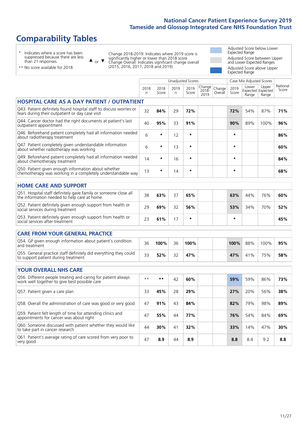# **Comparability Tables**

\* Indicates where a score has been suppressed because there are less than 21 responses.

\*\* No score available for 2018.

or  $\blacktriangledown$  $\blacktriangle$ 

Change 2018-2019: Indicates where 2019 score is significantly higher or lower than 2018 score Change Overall: Indicates significant change overall (2015, 2016, 2017, 2018 and 2019).

Adjusted Score below Lower Expected Range Adjusted Score between Upper and Lower Expected Ranges Adjusted Score above Upper Expected Range

|                                                                                                                                                                                                                                                                                                                                                                                      |              |               |            | Unadjusted Scores |                            |                   |               | Case Mix Adjusted Scores |                                     |                   |
|--------------------------------------------------------------------------------------------------------------------------------------------------------------------------------------------------------------------------------------------------------------------------------------------------------------------------------------------------------------------------------------|--------------|---------------|------------|-------------------|----------------------------|-------------------|---------------|--------------------------|-------------------------------------|-------------------|
|                                                                                                                                                                                                                                                                                                                                                                                      | 2018<br>n    | 2018<br>Score | 2019<br>n. | 2019<br>Score     | Change<br>$2018 -$<br>2019 | Change<br>Overall | 2019<br>Score | Lower<br>Range           | Upper<br>Expected Expected<br>Range | National<br>Score |
| <b>HOSPITAL CARE AS A DAY PATIENT / OUTPATIENT</b>                                                                                                                                                                                                                                                                                                                                   |              |               |            |                   |                            |                   |               |                          |                                     |                   |
| Q43. Patient definitely found hospital staff to discuss worries or<br>fears during their outpatient or day case visit                                                                                                                                                                                                                                                                | 32           | 84%           | 29         | 72%               |                            |                   | 72%           | 54%                      | 87%                                 | 71%               |
| Q44. Cancer doctor had the right documents at patient's last<br>outpatient appointment                                                                                                                                                                                                                                                                                               | 40           | 95%           | 33         | 91%               |                            |                   | 90%           | 89%                      | 100%                                | 96%               |
| Q46. Beforehand patient completely had all information needed<br>about radiotherapy treatment                                                                                                                                                                                                                                                                                        | 6            | *             | 12         | $\star$           |                            |                   | $\star$       |                          |                                     | 86%               |
| Q47. Patient completely given understandable information<br>about whether radiotherapy was working                                                                                                                                                                                                                                                                                   | 6            | $\star$       | 13         | $\star$           |                            |                   | $\star$       |                          |                                     | 60%               |
| Q49. Beforehand patient completely had all information needed<br>about chemotherapy treatment                                                                                                                                                                                                                                                                                        | 14           | $\star$       | 16         | $\star$           |                            |                   | $\star$       |                          |                                     | 84%               |
| Q50. Patient given enough information about whether<br>chemotherapy was working in a completely understandable way                                                                                                                                                                                                                                                                   | 13           | $\star$       | 14         | $\star$           |                            |                   | $\star$       |                          |                                     | 68%               |
| <b>HOME CARE AND SUPPORT</b>                                                                                                                                                                                                                                                                                                                                                         |              |               |            |                   |                            |                   |               |                          |                                     |                   |
| Q51. Hospital staff definitely gave family or someone close all<br>the information needed to help care at home                                                                                                                                                                                                                                                                       | 38           | 63%           | 37         | 65%               |                            |                   | 63%           | 44%                      | 76%                                 | 60%               |
| Q52. Patient definitely given enough support from health or<br>social services during treatment                                                                                                                                                                                                                                                                                      | 29           | 69%           | 32         | 56%               |                            |                   | 53%           | 34%                      | 70%                                 | 52%               |
| Q53. Patient definitely given enough support from health or<br>social services after treatment                                                                                                                                                                                                                                                                                       | 23           | 61%           | 17         | $\star$           |                            |                   | $\star$       |                          |                                     | 45%               |
| <b>CARE FROM YOUR GENERAL PRACTICE</b>                                                                                                                                                                                                                                                                                                                                               |              |               |            |                   |                            |                   |               |                          |                                     |                   |
| Q54. GP given enough information about patient's condition<br>and treatment                                                                                                                                                                                                                                                                                                          | 36           | 100%          | 36         | 100%              |                            |                   | 100%          | 88%                      | 100%                                | 95%               |
| Q55. General practice staff definitely did everything they could<br>to support patient during treatment                                                                                                                                                                                                                                                                              | 33           | 52%           | 32         | 47%               |                            |                   | 47%           | 41%                      | 75%                                 | 58%               |
| <b>YOUR OVERALL NHS CARE</b>                                                                                                                                                                                                                                                                                                                                                         |              |               |            |                   |                            |                   |               |                          |                                     |                   |
| Q56. Different people treating and caring for patient always<br>work well together to give best possible care                                                                                                                                                                                                                                                                        | $\star\star$ | $***$         | 42         | 60%               |                            |                   | 59%           | 59%                      | 86%                                 | 73%               |
| Q57. Patient given a care plan                                                                                                                                                                                                                                                                                                                                                       | 33           | 45%           | 28         | 29%               |                            |                   | 27%           | 20%                      | 56%                                 | 38%               |
| Q58. Overall the administration of care was good or very good                                                                                                                                                                                                                                                                                                                        | 47           | 91%           | 43         | 84%               |                            |                   | 82%           | 79%                      | 98%                                 | 89%               |
| $\overline{O}$ $\overline{O}$ $\overline{O}$ $\overline{O}$ $\overline{O}$ $\overline{O}$ $\overline{O}$ $\overline{O}$ $\overline{O}$ $\overline{O}$ $\overline{O}$ $\overline{O}$ $\overline{O}$ $\overline{O}$ $\overline{O}$ $\overline{O}$ $\overline{O}$ $\overline{O}$ $\overline{O}$ $\overline{O}$ $\overline{O}$ $\overline{O}$ $\overline{O}$ $\overline{O}$ $\overline{$ |              |               |            |                   |                            |                   |               |                          |                                     |                   |

| Q56. Overall the administration of care was good or very good                                         | 4/ | <b>9170</b> | 40 | O470 | <b>OZ</b> 70 | ס7 כ   | YO 70 | -0970 |
|-------------------------------------------------------------------------------------------------------|----|-------------|----|------|--------------|--------|-------|-------|
| Q59. Patient felt length of time for attending clinics and<br>appointments for cancer was about right | 47 | 55%         | 44 | 77%  | 76%          | 54%    | 84%   | 69%   |
| Q60. Someone discussed with patient whether they would like<br>to take part in cancer research        | 44 | 30%         | 41 | 32%  | 33%          | $14\%$ | 47%   | 30%   |
| Q61. Patient's average rating of care scored from very poor to<br>very good                           |    | 8.9         | 44 | 8.9  | 8.8          | 8.4    | 92    | 8.8   |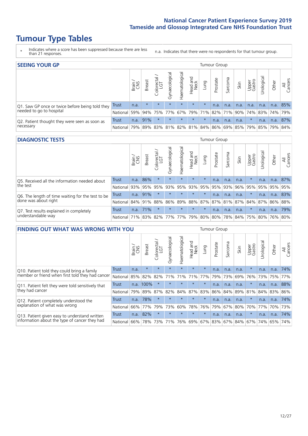# **Tumour Type Tables**

\* Indicates where a score has been suppressed because there are less than 21 responses.

n.a. Indicates that there were no respondents for that tumour group.

| <b>SEEING YOUR GP</b>                           |          |              |               |                     |                |                |                                             |         | Tumour Group |         |      |                 |                 |       |                |
|-------------------------------------------------|----------|--------------|---------------|---------------------|----------------|----------------|---------------------------------------------|---------|--------------|---------|------|-----------------|-----------------|-------|----------------|
|                                                 |          | Brain<br>CNS | <b>Breast</b> | Colorectal /<br>LGT | Gynaecological | Haematological | Head and<br>Neck                            | Lung    | Prostate     | Sarcoma | Skin | Upper<br>Gastro | Urological      | Other | All<br>Cancers |
| Q1. Saw GP once or twice before being told they | Trust    | n.a.         | $\star$       | $\star$             | $\star$        | $\star$        | $\star$                                     | $\star$ | n.a.         | n.a.    | n.a. | n.a.            | n.a.            | n.a.  | 85%            |
| needed to go to hospital                        | National | 59%          | 94%           | 75%                 | 77%            |                | 67% 79% 71% 82% 71% 90%                     |         |              |         |      |                 | 74% 83% 74% 79% |       |                |
| Q2. Patient thought they were seen as soon as   | Trust    | n.a.         | 91%           | $\star$             | $\star$        | $\star$        | $\star$                                     | $\star$ | n.a.         | n.a.    | n.a. | $\star$         | n.a.            | n.a.  | 87%            |
| necessary                                       | National | 79%          | 89%           | 83%                 |                |                | 81% 82% 81% 84% 86% 69% 85% 79% 85% 79% 84% |         |              |         |      |                 |                 |       |                |

#### **DIAGNOSTIC TESTS** Tumour Group

|                                                   |                  | Brain<br>CNS | <b>Breast</b>               | olorectal.<br>LGT<br>Ü | $\overline{\sigma}$<br>Gynaecologic | Haematological | Head and<br>Neck | Lung    | Prostate | Sarcoma | Skin | Upper<br>Gastro | Irologica                                   | Other | All<br>Cancers |
|---------------------------------------------------|------------------|--------------|-----------------------------|------------------------|-------------------------------------|----------------|------------------|---------|----------|---------|------|-----------------|---------------------------------------------|-------|----------------|
| Q5. Received all the information needed about     | Trust            | n.a.         | 86%                         |                        | $\star$                             | $\star$        | $\star$          | $\star$ | n.a.     | n.a.    | n.a. | $\star$         | n.a.                                        | n.a.  | 87%            |
| the test                                          | National         | 93%          | 95%                         | 95%                    | 93%                                 | 95%            | 93%              | 95%     | 95%      | 93%     | 96%  | 95%             | 95%                                         | 95%   | 95%            |
| Q6. The length of time waiting for the test to be | Trust            | n.a.         | 91%                         |                        | $\star$                             | $\star$        | $\star$          | $\star$ | n.a.     | n.a.    | n.a. |                 | n.a.                                        | n.a.  | 83%            |
| done was about right                              | National 84% 91% |              |                             | 88%                    |                                     |                |                  |         |          |         |      |                 | 86% 89% 88% 87% 87% 81% 87% 84% 87% 86% 88% |       |                |
| Q7. Test results explained in completely          | Trust            | n.a.         | 71%                         |                        | $\star$                             | $\star$        | $\star$          | $\star$ | n.a.     | n.a.    | n.a. |                 | n.a.                                        | n.a.  | 79%            |
| understandable way                                | National 71%     |              | 83% 82% 77% 77% 79% 80% 80% |                        |                                     |                |                  |         |          |         |      |                 | 78% 84% 75% 80%                             |       | 76% 80%        |

| <b>FINDING OUT WHAT WAS WRONG WITH YOU</b>        |              |       |               |                             |                |                |                        |                 | Tumour Group |         |      |                 |            |         |                |
|---------------------------------------------------|--------------|-------|---------------|-----------------------------|----------------|----------------|------------------------|-----------------|--------------|---------|------|-----------------|------------|---------|----------------|
|                                                   |              | Brain | <b>Breast</b> | ╮<br>olorectal.<br>LGT<br>Ũ | Gynaecological | Haematological | ad and<br>Neck<br>Head | Lung            | Prostate     | Sarcoma | Skin | Upper<br>Gastro | Urological | Other   | All<br>Cancers |
| Q10. Patient told they could bring a family       | <b>Trust</b> | n.a.  | $\star$       | $\star$                     | $\star$        | $\star$        | $\star$                | $\star$         | n.a.         | n.a.    | n.a. | $\star$         | n.a.       | n.a.    | 74%            |
| member or friend when first told they had cancer  | National     | 85%   | 82%           | 82%                         | 71%            | 71%            | 71%                    | 77%             | 79%          | 73%     | 69%  | 76%             | 73%        | 75%     | 77%            |
| Q11. Patient felt they were told sensitively that | Trust        | n.a.  | 100%          | $\star$                     |                | $\star$        | $\star$                | $\star$         | n.a.         | n.a.    | n.a. | $\star$         | n.a.       | n.a.    | 88%            |
| they had cancer                                   | National     | 79%   | 89%           | 87%                         | 82%            |                | 84% 87% 83%            |                 | 86%          | 84%     | 89%  | 81%             |            | 84% 83% | 86%            |
| Q12. Patient completely understood the            | Trust        | n.a.  | 78%           | $\star$                     |                | $\star$        | $\star$                | $\star$         | n.a.         | n.a.    | n.a. | $\star$         | n.a.       | n.a.    | 74%            |
| explanation of what was wrong                     | National     | 66%   | 77%           | 79%                         | 73%            | 60%            | 78%                    | 76%             | 79%          | 67%     | 80%  | 70%             | 77%        | 70%     | 73%            |
| Q13. Patient given easy to understand written     | Trust        | n.a.  | 82%           | $\star$                     | $\star$        | $\star$        | $\star$                | $\star$         | n.a.         | n.a.    | n.a. | $\star$         | n.a.       | n.a.    | 74%            |
| information about the type of cancer they had     | National     | 66%   | 78%           | 73%                         | 71%            | 76%            |                        | 69%   67%   83% |              | 67%     | 84%  | 67%             | 74%        | 65%     | 74%            |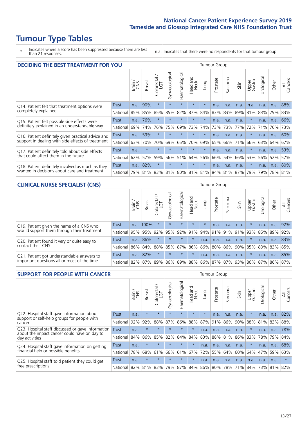# **Tumour Type Tables**

\* Indicates where a score has been suppressed because there are less than 21 responses.

n.a. Indicates that there were no respondents for that tumour group.

| <b>DECIDING THE BEST TREATMENT FOR YOU</b>         |          |       |               |                        |                |                |                         |         | <b>Tumour Group</b> |              |      |                                         |            |         |                |
|----------------------------------------------------|----------|-------|---------------|------------------------|----------------|----------------|-------------------------|---------|---------------------|--------------|------|-----------------------------------------|------------|---------|----------------|
|                                                    |          | Brain | <b>Breast</b> | olorectal.<br>LGT<br>Ü | Gynaecological | Haematological | ead and<br>Neck<br>Head | Lung    | Prostate            | arcoma<br>vĀ | Skin | Upper<br>Gastro                         | Jrological | Other   | All<br>Cancers |
| Q14. Patient felt that treatment options were      | Trust    | n.a.  | 90%           | $\star$                | $\star$        | $\star$        | $\star$                 | $\star$ | n.a.                | n.a.         | n.a. | n.a.                                    | n.a.       | n.a.    | 88%            |
| completely explained                               | National | 85%   | 85%           | 85%                    | 85%            | 82%            | 87%                     | 84%     | 83%                 | 83%          | 89%  | 81%                                     | 83%        | 79%     | 83%            |
| Q15. Patient felt possible side effects were       | Trust    | n.a.  | 76%           | $\star$                |                |                | $\star$                 | $\star$ | n.a.                | n.a.         | n.a. | $\star$                                 | n.a.       | n.a.    | 66%            |
| definitely explained in an understandable way      | National | 69%   | 74%           | 76%                    | 75%            | 69%            | 73%                     | 74%     | 73%                 | 73%          | 77%  | 72%                                     | 71%        | 70%     | 73%            |
| Q16. Patient definitely given practical advice and | Trust    | n.a.  | 59%           | $\star$                | $\star$        | $\star$        | $\star$                 | $\star$ | n.a.                | n.a.         | n.a. | $\star$                                 | n.a.       | n.a.    | 60%            |
| support in dealing with side effects of treatment  | National | 63%   | 70%           | 70%                    | 69%            | 65%            | 70%                     | 69%     | 65%                 | 66%          | 71%  | 66%                                     | 63%        | 64%     | 67%            |
| Q17. Patient definitely told about side effects    | Trust    | n.a.  | $\star$       | $\star$                | $\star$        | $\star$        | $\star$                 | $\star$ | n.a.                | n.a.         | n.a. | $\star$                                 | n.a.       | n.a.    | 53%            |
| that could affect them in the future               | National | 62%   | 57%           | 59%                    | 56%            | 51%            | 64%                     | 56%     | 66%                 | 54%          | 66%  | 53%                                     | 56%        | 52%     | 57%            |
| Q18. Patient definitely involved as much as they   | Trust    | n.a.  | 82%           | $\star$                | $\star$        | $\star$        | $\star$                 | $\star$ | n.a.                | n.a.         | n.a. | $\star$                                 | n.a.       | n.a.    | 80%            |
| wanted in decisions about care and treatment       | National | 79%   |               |                        |                |                |                         |         |                     |              |      | 81% 83% 81% 80% 81% 81% 84% 81% 87% 79% | 79%        | 78% 81% |                |

#### **CLINICAL NURSE SPECIALIST (CNS)** Tumour Group

|                                             |          | Brain | <b>Breast</b>   | Colorectal<br>LGT | Gynaecologica | aematological | Head and<br>Neck | Lung    | Prostate | Sarcoma | Skin    | Upper<br>Gastro                                 | rological | Other   | All<br>Cancers |
|---------------------------------------------|----------|-------|-----------------|-------------------|---------------|---------------|------------------|---------|----------|---------|---------|-------------------------------------------------|-----------|---------|----------------|
| Q19. Patient given the name of a CNS who    | Trust    |       | n.a. 100%       |                   | $\star$       | $\star$       | $\star$          | $\star$ | n.a.     | n.a.    | n.a.    | $\star$                                         | n.a.      | n.a.    | 92%            |
| would support them through their treatment  | National | 95%   | 95%             | 92%               | 95%           | 92%           | 91%              | 94% 91% |          |         | 91% 91% | 93%                                             | 85%       | 89%     | 92%            |
| Q20. Patient found it very or quite easy to | Trust    | n.a.  | 86%             |                   | $\star$       |               | $\star$          | n.a.    | n.a.     | n.a.    | n.a.    |                                                 | n.a.      | n.a.    | 83%            |
| contact their CNS                           | National |       | 86% 84% 88% 85% |                   |               | 87%           | 86%              | 86% 80% |          |         |         | 86% 90% 85%                                     |           | 83% 83% | 85%            |
| Q21. Patient got understandable answers to  | Trust    | n.a.  | 82%             |                   | $\star$       | $\star$       | $\star$          | n.a.    | n.a.     | n.a.    | n.a.    |                                                 | n.a.      | n.a.    | 85%            |
| important questions all or most of the time | National |       |                 |                   |               |               |                  |         |          |         |         | 82% 87% 89% 86% 89% 88% 86% 87% 87% 93% 86% 87% |           |         | 86% 87%        |

| <b>SUPPORT FOR PEOPLE WITH CANCER</b>                                                             |              |       |               |                            |                |                |                         |             | Tumour Group |         |      |                 |           |       |                |
|---------------------------------------------------------------------------------------------------|--------------|-------|---------------|----------------------------|----------------|----------------|-------------------------|-------------|--------------|---------|------|-----------------|-----------|-------|----------------|
|                                                                                                   |              | Brain | <b>Breast</b> | ╮<br>olorectal<br>LGT<br>Ū | Gynaecological | Haematological | ead and<br>Neck<br>Head | <b>Dung</b> | Prostate     | Sarcoma | Skin | Upper<br>Gastro | Urologica | Other | All<br>Cancers |
| Q22. Hospital staff gave information about<br>support or self-help groups for people with         | <b>Trust</b> | n.a.  | $\star$       | $\star$                    | $\star$        | $\star$        | $\star$                 | $\star$     | n.a.         | n.a.    | n.a. | $\star$         | n.a.      | n.a.  | 82%            |
| cancer                                                                                            | National     | 92%   | 92%           | 88%                        | 87%            | 86%            | 88%                     | 87%         | 91%          | 86%     | 90%  | 88%             | 81%       | 83%   | 88%            |
| Q23. Hospital staff discussed or gave information<br>about the impact cancer could have on day to | Trust        | n.a.  | $\star$       | $\star$                    | $\star$        | $\star$        | $\star$                 | n.a.        | n.a.         | n.a.    | n.a. | $\star$         | n.a.      | n.a.  | 78%            |
| day activities                                                                                    | National     | 84%   | 86%           | 85%                        | 82%            | 84%            | 84%                     | 83%         | 88%          | 81%     | 86%  | 83%             | 78%       | 79%   | 84%            |
| Q24. Hospital staff gave information on getting                                                   | Trust        | n.a.  | $\star$       | $\star$                    | $\star$        | $\star$        | $\star$                 | n.a.        | n.a.         | n.a.    | n.a. | $\star$         | n.a.      | n.a.  | 68%            |
| financial help or possible benefits                                                               | National     | 78%   | 68%           | 61%                        | 66%            | 61%            | 67%                     | 72%         | 55%          | 64%     | 60%  | 64%             | 47%       | 59%   | 63%            |
| Q25. Hospital staff told patient they could get                                                   | Trust        | n.a.  | $\star$       | $\star$                    | $\star$        | $\star$        | $\star$                 | n.a.        | n.a.         | n.a.    | n.a. | n.a.            | n.a.      | n.a.  | $\star$        |
| free prescriptions                                                                                | National     | 82%   |               | 81% 83%                    | 79%            | 87%            |                         |             | 84% 86% 80%  | 78%     | 71%  | 84%             | 73%       | 81%   | 82%            |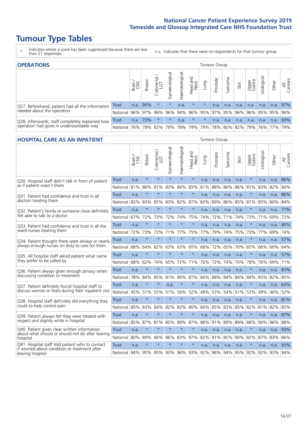# **Tumour Type Tables**

- \* Indicates where a score has been suppressed because there are less than 21 responses.
- n.a. Indicates that there were no respondents for that tumour group.

| <b>OPERATIONS</b>                                |            |              |               |                   |                |                |                  |                 | Tumour Group |         |                             |                 |            |       |                |
|--------------------------------------------------|------------|--------------|---------------|-------------------|----------------|----------------|------------------|-----------------|--------------|---------|-----------------------------|-----------------|------------|-------|----------------|
|                                                  |            | Brain<br>CNS | <b>Breast</b> | Colorectal<br>LGT | Gynaecological | Haematological | Head and<br>Neck | <b>Dung</b>     | Prostate     | Sarcoma | Skin                        | Upper<br>Gastro | Urological | Other | All<br>Cancers |
| Q27. Beforehand, patient had all the information | Trust      | n.a.         | 95%           |                   | $\star$        | n.a.           | $\star$          | $\star$         | n.a.         | n.a.    | n.a.                        | n.a.            | n.a.       | n.a.  | 97%            |
| needed about the operation                       | National   | 96%          | 97%           | 96%               | 96%            |                |                  | 94% 96% 95% 97% |              |         | 95% 96% 96% 95% 95%         |                 |            |       | 96%            |
| Q28. Afterwards, staff completely explained how  | Trust      | n.a.         | 73%           |                   | $\star$        | n.a.           | $\star$          | $\star$         | n.a.         | n.a.    | n.a.                        | n.a.            | n.a.       | n.a.  | 69%            |
| operation had gone in understandable way         | National I | 76%          |               | 79% 83%           | 79%            |                |                  | 78%   79%   79% | 78%          |         | 80%   82%   79%   76%   77% |                 |            |       | 79%            |

#### **HOSPITAL CARE AS AN INPATIENT** Tumour Group

|                                                                                                  |              | Brain | Breast  | Colorectal /<br>LGT | Gynaecological | Haematological | Head and<br>Neck | Lung    | Prostate | Sarcoma | Skin | Upper<br>Gastro | Urological | Other | All<br>Cancers |
|--------------------------------------------------------------------------------------------------|--------------|-------|---------|---------------------|----------------|----------------|------------------|---------|----------|---------|------|-----------------|------------|-------|----------------|
| Q30. Hospital staff didn't talk in front of patient                                              | Trust        | n.a.  | $\star$ | $\star$             | $\star$        | $\star$        | $\star$          | n.a.    | n.a.     | n.a.    | n.a. | $\star$         | n.a.       | n.a.  | 86%            |
| as if patient wasn't there                                                                       | National     | 81%   | 86%     | 81%                 | 83%            | 84%            | 83%              | 81%     | 88%      | 86%     | 86%  | 81%             | 83%        | 82%   | 84%            |
| Q31. Patient had confidence and trust in all                                                     | <b>Trust</b> | n.a.  | $\star$ | $\star$             | $\star$        | $\star$        | $\star$          | n.a.    | n.a.     | n.a.    | n.a. |                 | n.a.       | n.a.  | 86%            |
| doctors treating them                                                                            | National     | 82%   | 83%     | 85%                 | 83%            | 82%            | 87%              | 83%     | 89%      | 86%     | 85%  | 81%             | 85%        | 80%   | 84%            |
| Q32. Patient's family or someone close definitely                                                | Trust        | n.a.  | $\star$ | $\star$             | $\star$        | $\star$        | $\star$          | n.a.    | n.a.     | n.a.    | n.a. |                 | n.a.       | n.a.  | 77%            |
| felt able to talk to a doctor                                                                    | National     | 67%   | 72%     | 73%                 | 72%            | 74%            | 75%              | 74%     | 72%      | 71%     | 74%  | 73%             | 71%        | 69%   | 72%            |
| Q33. Patient had confidence and trust in all the                                                 | Trust        | n.a.  | $\star$ | $\star$             | $\star$        | $\star$        | $\star$          | n.a.    | n.a.     | n.a.    | n.a. | $\star$         | n.a.       | n.a.  | 80%            |
| ward nurses treating them                                                                        | National     | 72%   | 73%     | 72%                 | 71%            | 77%            | 75%              | 77%     | 79%      | 74%     | 75%  | 73%             | 77%        | 69%   | 74%            |
| Q34. Patient thought there were always or nearly                                                 | <b>Trust</b> | n.a.  | $\star$ | $\star$             | $\star$        | $\star$        | $\star$          | n.a.    | n.a.     | n.a.    | n.a. | $\star$         | n.a.       | n.a.  | 57%            |
| always enough nurses on duty to care for them                                                    | National     | 68%   | 64%     | 62%                 | 63%            | 63%            | 65%              | 68%     | 72%      | 65%     | 70%  | 65%             | 66%        | 60%   | 64%            |
| Q35. All hospital staff asked patient what name                                                  | Trust        | n.a.  | $\star$ | $\star$             | $\star$        | $\star$        | $\star$          | n.a.    | n.a.     | n.a.    | n.a. |                 | n.a.       | n.a.  | 57%            |
| they prefer to be called by                                                                      | National     | 68%   | 62%     | 74%                 | 65%            | 72%            | 71%              | 76%     | 72%      | 74%     | 70%  | 78%             | 76%        | 69%   | 71%            |
| Q36. Patient always given enough privacy when                                                    | Trust        | n.a.  | $\star$ | $\star$             | $\star$        | $\star$        | $\star$          | n.a.    | n.a.     | n.a.    | n.a. |                 | n.a.       | n.a.  | 83%            |
| discussing condition or treatment                                                                | National     | 78%   | 84%     | 85%                 | 81%            | 86%            | 87%              | 84%     | 88%      | 84%     | 84%  | 84%             | 85%        | 82%   | 85%            |
| Q37. Patient definitely found hospital staff to                                                  | <b>Trust</b> | n.a.  | $\star$ | $\star$             | n.a.           | $\star$        | $\star$          | n.a.    | n.a.     | n.a.    | n.a. | $\star$         | n.a.       | n.a.  | 63%            |
| discuss worries or fears during their inpatient visit                                            | National     | 45%   | 51%     | 55%                 | 51%            | 56%            | 52%              | 49%     | 53%      | 54%     | 51%  | 53%             | 49%        | 46%   | 52%            |
| Q38. Hospital staff definitely did everything they                                               | <b>Trust</b> | n.a.  | $\star$ | $\star$             | $\star$        | $\star$        | $\star$          | n.a.    | n.a.     | n.a.    | n.a. | $\star$         | n.a.       | n.a.  | 81%            |
| could to help control pain                                                                       | National     | 85%   | 83%     | 84%                 | 82%            | 82%            | 80%              | 84%     | 85%      | 83%     | 85%  | 82%             | 81%        | 82%   | 83%            |
| Q39. Patient always felt they were treated with                                                  | Trust        | n.a.  | $\star$ | $\star$             | $\star$        | $\star$        | $\star$          | n.a.    | n.a.     | n.a.    | n.a. |                 | n.a.       | n.a.  | 87%            |
| respect and dignity while in hospital                                                            | National     | 85%   | 87%     | 87%                 | 85%            | 89%            | 87%              | 88%     | 91%      | 89%     | 89%  | 88%             | 90%        | 86%   | 88%            |
| Q40. Patient given clear written information<br>about what should or should not do after leaving | Trust        | n.a.  | $\star$ | $\star$             | $\star$        | $\star$        | $\star$          | n.a.    | n.a.     | n.a.    | n.a. |                 | n.a.       | n.a.  | 93%            |
| hospital                                                                                         | National     | 80%   | 89%     | 86%                 |                | 86% 83%        | 87%              | 82%     | 91%      | 85%     | 90%  | 82%             | 87%        | 83%   | 86%            |
| Q41. Hospital staff told patient who to contact<br>if worried about condition or treatment after | Trust        | n.a.  | $\star$ | $\star$             | $\star$        | $\star$        | $\star$          | n.a.    | n.a.     | n.a.    | n.a. | $\star$         | n.a.       | n.a.  | 93%            |
| leaving hospital                                                                                 | National     | 94%   | 95%     | 95%                 |                | 93% 96%        |                  | 93% 92% | 96%      | 94%     | 95%  | 92%             | 92%        | 93%   | 94%            |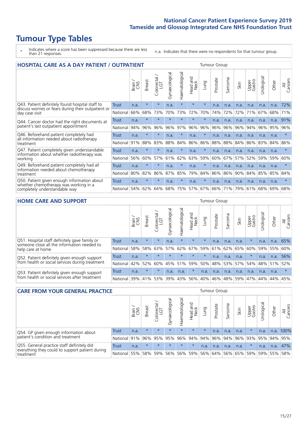# **Tumour Type Tables**

\* Indicates where a score has been suppressed because there are less than 21 responses.

n.a. Indicates that there were no respondents for that tumour group.

| <b>HOSPITAL CARE AS A DAY PATIENT / OUTPATIENT</b>                                     | <b>Tumour Group</b> |               |               |                         |                |                |                         |         |          |             |      |                 |            |       |                |
|----------------------------------------------------------------------------------------|---------------------|---------------|---------------|-------------------------|----------------|----------------|-------------------------|---------|----------|-------------|------|-----------------|------------|-------|----------------|
|                                                                                        |                     | Brain.<br>CNS | <b>Breast</b> | olorectal /<br>LGT<br>Ũ | Gynaecological | Haematological | aad and<br>Neck<br>Head | Lung    | Prostate | arcoma<br>S | Skin | Upper<br>Gastro | Urological | Other | All<br>Cancers |
| Q43. Patient definitely found hospital staff to                                        | <b>Trust</b>        | n.a.          | $\star$       | $\star$                 | n.a.           | $\star$        | $\star$                 | $\star$ | n.a.     | n.a.        | n.a. | n.a.            | n.a.       | n.a.  | 72%            |
| discuss worries or fears during their outpatient or<br>day case visit                  | National            | 66%           | 68%           | 73%                     | 70%            | 73%            | 72%                     | 70%     | 74%      | 72%         | 72%  | 71%             | 67%        | 68%   | 71%            |
| Q44. Cancer doctor had the right documents at<br>patient's last outpatient appointment | Trust               | n.a.          | $\star$       | $\star$                 | $\star$        | $\star$        | $\star$                 | $\star$ | n.a.     | n.a.        | n.a. | n.a.            | n.a.       | n.a.  | 91%            |
|                                                                                        | National            | 94%           | 96%           | 96%                     | 96%            | 97%            | 96%                     | 96%     | 96%      | 96%         | 96%  | 94%             | 96%        | 95%   | 96%            |
| Q46. Beforehand patient completely had                                                 | Trust               | n.a.          | $\star$       | $\star$                 | n.a.           | $\ast$         | n.a.                    | $\star$ | n.a.     | n.a.        | n.a. | n.a.            | n.a.       | n.a.  | $\star$        |
| all information needed about radiotherapy<br>treatment                                 | National            | 91%           | 88%           | 83%                     | 88%            | 84%            | 86%                     | 86%     | 88%      | 88%         | 84%  | 86%             | 83%        | 84%   | 86%            |
| Q47. Patient completely given understandable                                           | Trust               | n.a.          | $\star$       | $\star$                 | n.a.           | $\star$        | n.a.                    | $\star$ | n.a.     | n.a.        | n.a. | n.a.            | n.a.       | n.a.  | $\star$        |
| information about whether radiotherapy was<br>working                                  | National            | 56%           | 60%           | 57%                     | 61%            | 62%            | 63%                     | 59%     | 60%      | 67%         | 57%  | 52%             | 59%        | 59%   | 60%            |
| Q49. Beforehand patient completely had all                                             | <b>Trust</b>        | n.a.          | $\star$       | $\star$                 | n.a.           | $\star$        | n.a.                    | $\star$ | n.a.     | n.a.        | n.a. | n.a.            | n.a.       | n.a.  | $\star$        |
| information needed about chemotherapy<br>treatment                                     | National            | 80%           | 82%           | 86%                     | 87%            | 85%            | 79%                     | 84%     | 86%      | 86%         | 90%  | 84%             | 85%        | 85%   | 84%            |
| Q50. Patient given enough information about<br>whether chemotherapy was working in a   | Trust               | n.a.          | $\star$       | $\star$                 | n.a.           | $\ast$         | n.a.                    | $\star$ | n.a.     | n.a.        | n.a. | n.a.            | n.a.       | n.a.  | $\star$        |
| completely understandable way                                                          | National            | 54%           | 62%           | 64%                     | 68%            | 75%            | 57%                     | 67%     | 66%      | 71%         | 79%  | 61%             | 68%        | 69%   | 68%            |

#### **HOME CARE AND SUPPORT** Tumour Group

|                                                                                                                   |          | Brain | Breast  | Colorectal<br>LGT | ᢛ<br>Gynaecologic | Haematological | Head and<br>Neck | <b>Dung</b> | Prostate | Sarcoma | Skin    | Upper<br>Gastro | Urological | Other | All<br>Cancers |
|-------------------------------------------------------------------------------------------------------------------|----------|-------|---------|-------------------|-------------------|----------------|------------------|-------------|----------|---------|---------|-----------------|------------|-------|----------------|
| Q51. Hospital staff definitely gave family or<br>someone close all the information needed to<br>help care at home | Trust    | n.a.  | $\star$ | $\star$           | n.a.              | $\star$        | $\star$          | $\star$     | n.a.     | n.a.    | n.a.    | $\star$         | n.a.       | n.a.  | 65%            |
|                                                                                                                   | National | 58%   | 58%     | 63%               | 57%               |                |                  | 62% 67% 59% | 61%      |         | 62% 65% | 60%             | 59% 55%    |       | 60%            |
| Q52. Patient definitely given enough support                                                                      | Trust    | n.a.  | $\star$ | $\star$           | $\star$           |                | $\star$          | $\star$     | n.a.     | n.a.    | n.a.    | $\star$         | n.a.       | n.a.  | 56%            |
| from health or social services during treatment                                                                   | National | 42%   | 52%     | 60%               |                   | 45% 51%        | 59%              | 50%         | 48%      |         | 53% 57% | 54%             | 48% 51%    |       | 52%            |
| Q53. Patient definitely given enough support<br>from health or social services after treatment                    | Trust    | n.a.  | $\star$ | $\star$           | n.a.              | n.a.           | $\star$          | n.a.        | n.a.     | n.a.    | n.a.    | n.a.            | n.a.       | n.a.  |                |
|                                                                                                                   | National | 39%   | 41%     | 53%               | 39%               | $ 43\% $       | 56%              | 40%         | 46%      | 48%     | 59%     | 47%             | 44%        | 44%   | 45%            |

| <b>CARE FROM YOUR GENERAL PRACTICE</b><br><b>Tumour Group</b>                                 |              |        |               |                 |               |                |                                         |         |          |         |      |                 |                       |             |                |
|-----------------------------------------------------------------------------------------------|--------------|--------|---------------|-----------------|---------------|----------------|-----------------------------------------|---------|----------|---------|------|-----------------|-----------------------|-------------|----------------|
|                                                                                               |              | Brain, | <b>Breast</b> | ╮<br>Colorectal | Gynaecologica | Haematological | Head and<br>Neck                        | Lung    | Prostate | Sarcoma | Skin | Upper<br>Gastro | $\sigma$<br>Urologica | Other       | All<br>Cancers |
| Q54. GP given enough information about                                                        | Trust        | n.a.   | $\star$       | $\star$         | $\star$       | $\star$        | $\star$                                 | $\star$ | n.a.     | n.a.    | n.a. | $\star$         | n.a.                  | n.a.        | 100%           |
| patient's condition and treatment                                                             | National 91% |        |               |                 | 96% 95% 95%   |                | 96% 94% 94% 96% 94% 96% 93% 95% 94% 95% |         |          |         |      |                 |                       |             |                |
| Q55. General practice staff definitely did<br>everything they could to support patient during | Trust        | n.a.   | $\star$       | $\star$         | $\star$       | $\star$        | $\star$                                 | n.a.    | n.a.     | n.a.    | n.a. | $\star$         | n.a.                  | n.a.        | 47%            |
| treatment                                                                                     | National 55% |        |               |                 | 58% 59% 56%   |                | 56%   59%   56%   64%   56%   65%   59% |         |          |         |      |                 |                       | 59% 55% 58% |                |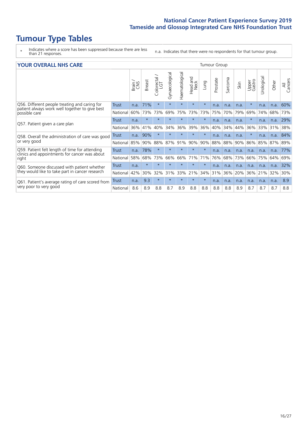# **Tumour Type Tables**

\* Indicates where a score has been suppressed because there are less than 21 responses.

n.a. Indicates that there were no respondents for that tumour group.

| <b>YOUR OVERALL NHS CARE</b><br><b>Tumour Group</b>                                            |          |       |               |                          |                |                |                         |         |          |               |      |                 |                                   |       |                |
|------------------------------------------------------------------------------------------------|----------|-------|---------------|--------------------------|----------------|----------------|-------------------------|---------|----------|---------------|------|-----------------|-----------------------------------|-------|----------------|
|                                                                                                |          | Brain | <b>Breast</b> | ╮<br>Colorectal /<br>LGT | Gynaecological | Haematological | ead and<br>Neck<br>Head | Lung    | Prostate | arcoma<br>آرا | Skin | Upper<br>Gastro | Urological                        | Other | All<br>Cancers |
| Q56. Different people treating and caring for                                                  | Trust    | n.a.  | 71%           | $\star$                  | $\star$        | $\star$        | $\star$                 | $\star$ | n.a.     | n.a.          | n.a. | $\star$         | n.a.                              | n.a.  | 60%            |
| patient always work well together to give best<br>possible care                                | National | 60%   | 73%           | 73%                      | 69%            | 75%            | 73%                     | 73%     | 75%      | 70%           | 79%  | 69%             |                                   | 68%   | 73%            |
| Q57. Patient given a care plan                                                                 | Trust    | n.a.  | $\star$       | $\star$                  | $\star$        | $\star$        | $\star$                 | $\star$ | n.a.     | n.a.          | n.a. | $\star$         | n.a.                              | n.a.  | 29%            |
|                                                                                                | National | 36%   | 41%           | 40%                      | 34%            | 36%            | 39%                     | 36%     | 40%      | 34%           | 44%  | 36%             | 33%                               | 31%   | 38%            |
| Q58. Overall the administration of care was good                                               | Trust    | n.a.  | 90%           | $\star$                  | $\star$        |                | $\star$                 | $\star$ | n.a.     | n.a.          | n.a. |                 | n.a.                              | n.a.  | 84%            |
| or very good                                                                                   | National | 85%   | 90%           | 88%                      | 87%            | 91%            | 90%                     | 90%     | 88%      | 88%           | 90%  | 86%             | 74%<br>85%<br>n.a.<br>n.a.<br>75% | 87%   | 89%            |
| Q59. Patient felt length of time for attending                                                 | Trust    | n.a.  | 78%           | $\star$                  | $\star$        | $\star$        | $\star$                 | $\star$ | n.a.     | n.a.          | n.a. |                 |                                   | n.a.  | 77%            |
| clinics and appointments for cancer was about<br>right                                         | National | 58%   | 68%           | 73%                      | 66%            | 66%            | 71%                     | 71%     | 76%      | 68%           | 73%  | 66%             |                                   | 64%   | 69%            |
| Q60. Someone discussed with patient whether<br>they would like to take part in cancer research | Trust    | n.a.  | $\star$       | $\star$                  | $\star$        | $\star$        | $\star$                 | $\star$ | n.a.     | n.a.          | n.a. | n.a.            | n.a.                              | n.a.  | 32%            |
|                                                                                                | National | 42%   | 30%           | 32%                      | 31%            | 33%            | 21%                     | 34%     | 31%      | 36%           | 20%  | 36%             | 21%                               | 32%   | 30%            |
| Q61. Patient's average rating of care scored from                                              | Trust    | n.a.  | 9.3           | $\star$                  | $\star$        | $\star$        | $\star$                 | $\star$ | n.a.     | n.a.          | n.a. | n.a.            | n.a.                              | n.a.  | 8.9            |
| very poor to very good                                                                         | National | 8.6   | 8.9           | 8.8                      | 8.7            | 8.9            | 8.8                     | 8.8     | 8.8      | 8.8           | 8.9  | 8.7             | 8.7                               | 8.7   | 8.8            |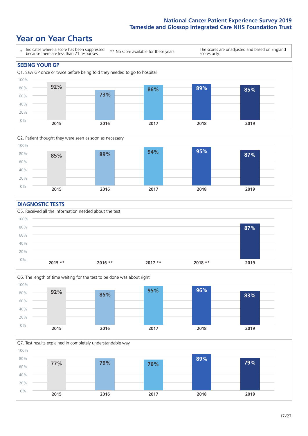### **Year on Year Charts**





#### **DIAGNOSTIC TESTS**





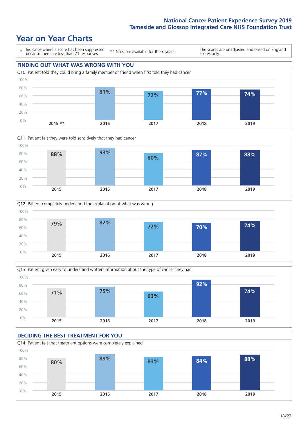### **Year on Year Charts**









#### **DECIDING THE BEST TREATMENT FOR YOU** Q14. Patient felt that treatment options were completely explained 0% 20% 40% 60% 80% 100% **2015 2016 2017 2018 2019 80% 89% 83% 84% 88%**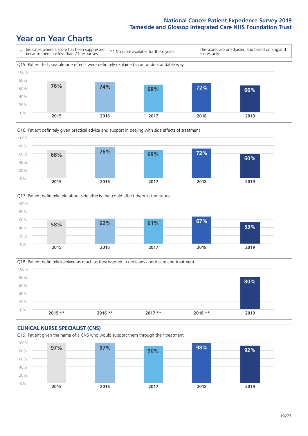### **Year on Year Charts**







Q18. Patient definitely involved as much as they wanted in decisions about care and treatment  $0%$ 20% 40% 60% 80% 100% **2015 \*\* 2016 \*\* 2017 \*\* 2018 \*\* 2019 80%**

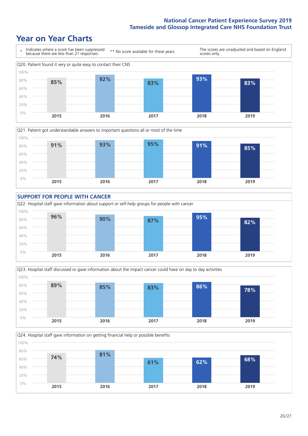### **Year on Year Charts**









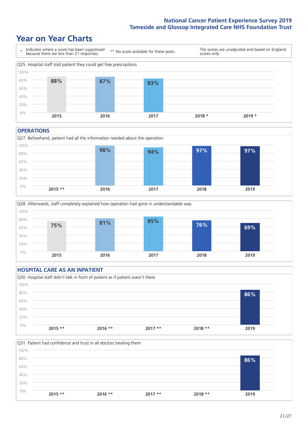### **Year on Year Charts**



#### **OPERATIONS**





#### **HOSPITAL CARE AS AN INPATIENT** Q30. Hospital staff didn't talk in front of patient as if patient wasn't there 0% 20% 40% 60% 80% 100% **2015 \*\* 2016 \*\* 2017 \*\* 2018 \*\* 2019 86%**

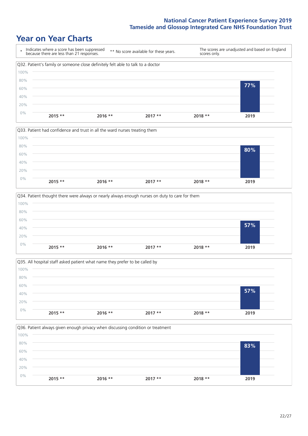### **Year on Year Charts**









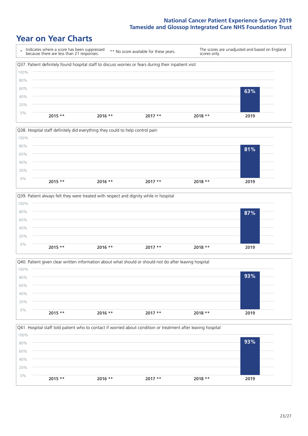### **Year on Year Charts**

|      | Indicates where a score has been suppressed<br>because there are less than 21 responses.              | ** No score available for these years. |          | scores only. | The scores are unadjusted and based on England |
|------|-------------------------------------------------------------------------------------------------------|----------------------------------------|----------|--------------|------------------------------------------------|
|      | Q37. Patient definitely found hospital staff to discuss worries or fears during their inpatient visit |                                        |          |              |                                                |
| 100% |                                                                                                       |                                        |          |              |                                                |
| 80%  |                                                                                                       |                                        |          |              |                                                |
| 60%  |                                                                                                       |                                        |          |              | 63%                                            |
| 40%  |                                                                                                       |                                        |          |              |                                                |
| 20%  |                                                                                                       |                                        |          |              |                                                |
| 0%   | $2015$ **<br>$2016$ **                                                                                |                                        | $2017**$ | 2018 **      | 2019                                           |
|      |                                                                                                       |                                        |          |              |                                                |







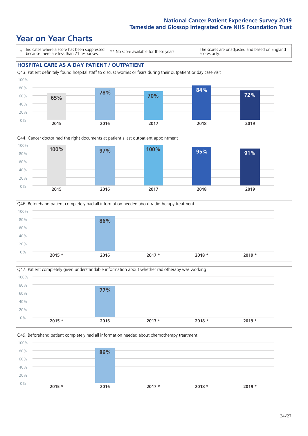**72%**

### **Year on Year Charts**

\* Indicates where a score has been suppressed because there are less than 21 responses. \*\* No score available for these years. The scores are unadjusted and based on England scores only.

#### **HOSPITAL CARE AS A DAY PATIENT / OUTPATIENT** Q43. Patient definitely found hospital staff to discuss worries or fears during their outpatient or day case visit 40% 60% 80% 100% **65% 78% 70% 84%**









Q49. Beforehand patient completely had all information needed about chemotherapy treatment 0% 20% 40% 60% 80% 100% **2015 \* 2016 2017 \* 2018 \* 2019 \* 86%**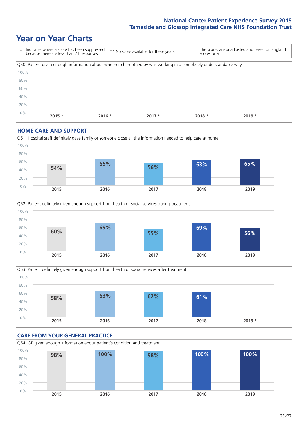### **Year on Year Charts**



#### **HOME CARE AND SUPPORT**







#### **CARE FROM YOUR GENERAL PRACTICE** Q54. GP given enough information about patient's condition and treatment 0% 20% 40% 60% 80% 100% **2015 2016 2017 2018 2019 98% 100% 98% 100% 100%**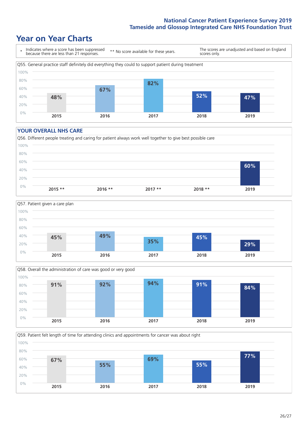### **Year on Year Charts**



#### **YOUR OVERALL NHS CARE**







Q59. Patient felt length of time for attending clinics and appointments for cancer was about right